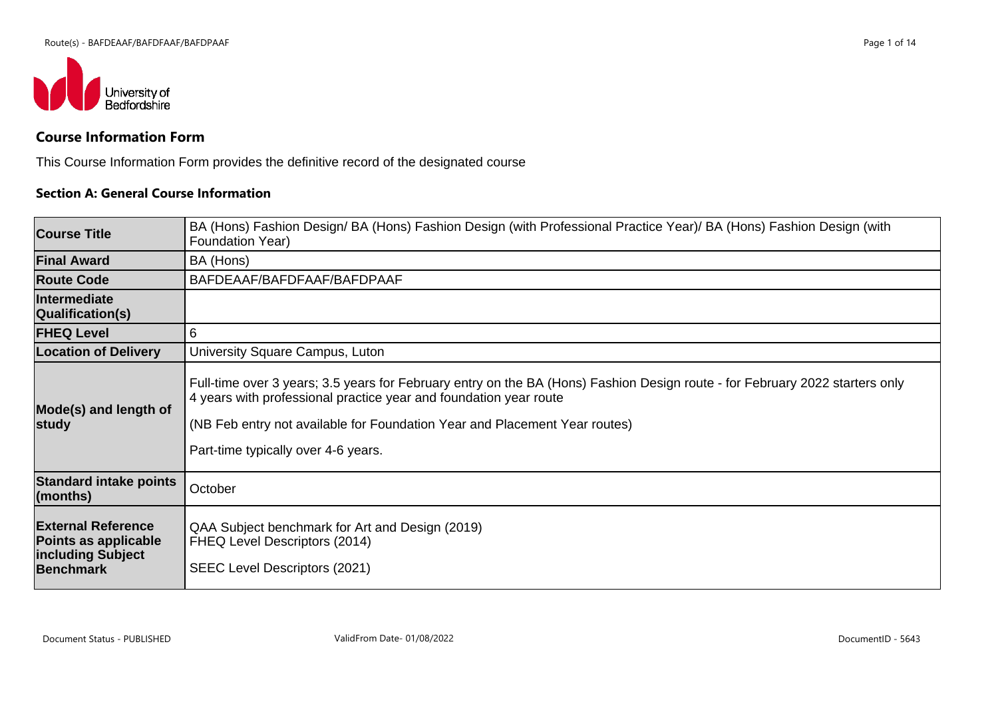

# **Course Information Form**

This Course Information Form provides the definitive record of the designated course

### **Section A: General Course Information**

| <b>Course Title</b>                                                                        | BA (Hons) Fashion Design/BA (Hons) Fashion Design (with Professional Practice Year)/BA (Hons) Fashion Design (with<br><b>Foundation Year)</b>                                                                                                                                                                          |
|--------------------------------------------------------------------------------------------|------------------------------------------------------------------------------------------------------------------------------------------------------------------------------------------------------------------------------------------------------------------------------------------------------------------------|
| <b>Final Award</b>                                                                         | BA (Hons)                                                                                                                                                                                                                                                                                                              |
| <b>Route Code</b>                                                                          | BAFDEAAF/BAFDFAAF/BAFDPAAF                                                                                                                                                                                                                                                                                             |
| Intermediate<br>Qualification(s)                                                           |                                                                                                                                                                                                                                                                                                                        |
| <b>FHEQ Level</b>                                                                          | 6                                                                                                                                                                                                                                                                                                                      |
| <b>Location of Delivery</b>                                                                | University Square Campus, Luton                                                                                                                                                                                                                                                                                        |
| Mode(s) and length of<br>study                                                             | Full-time over 3 years; 3.5 years for February entry on the BA (Hons) Fashion Design route - for February 2022 starters only<br>4 years with professional practice year and foundation year route<br>(NB Feb entry not available for Foundation Year and Placement Year routes)<br>Part-time typically over 4-6 years. |
| <b>Standard intake points</b><br>$ $ (months)                                              | October                                                                                                                                                                                                                                                                                                                |
| <b>External Reference</b><br>Points as applicable<br>including Subject<br><b>Benchmark</b> | QAA Subject benchmark for Art and Design (2019)<br>FHEQ Level Descriptors (2014)<br>SEEC Level Descriptors (2021)                                                                                                                                                                                                      |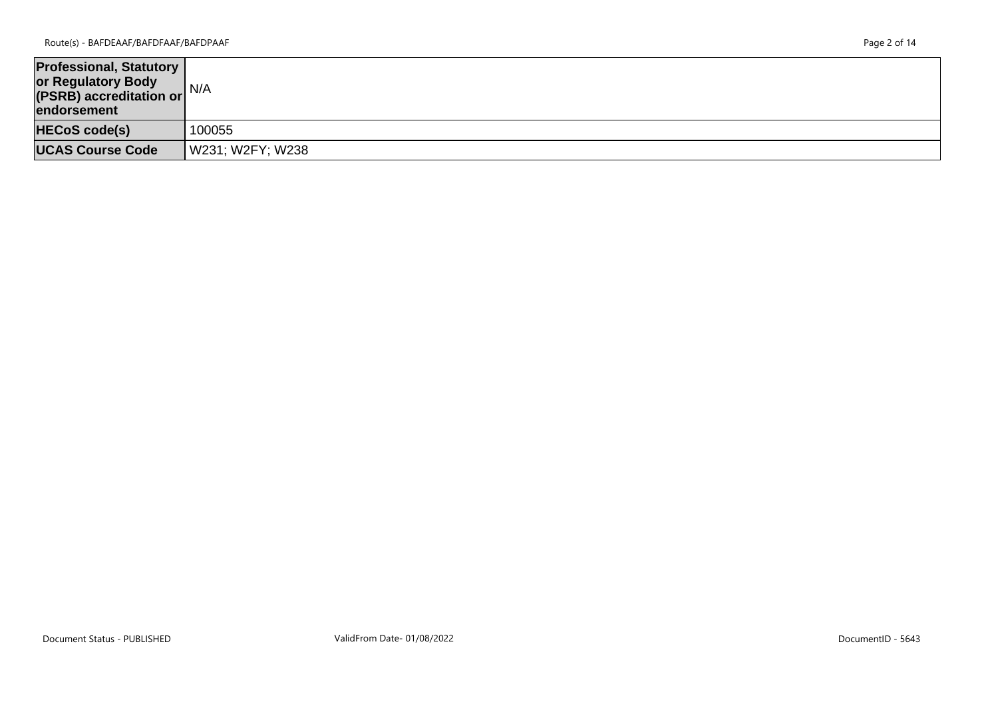| <b>Professional, Statutory</b><br>or Regulatory Body<br>(PSRB) accreditation or<br>endorsement | <sup>I</sup> N/A |
|------------------------------------------------------------------------------------------------|------------------|
| <b>HECoS code(s)</b>                                                                           | 100055           |
| <b>UCAS Course Code</b>                                                                        | W231; W2FY; W238 |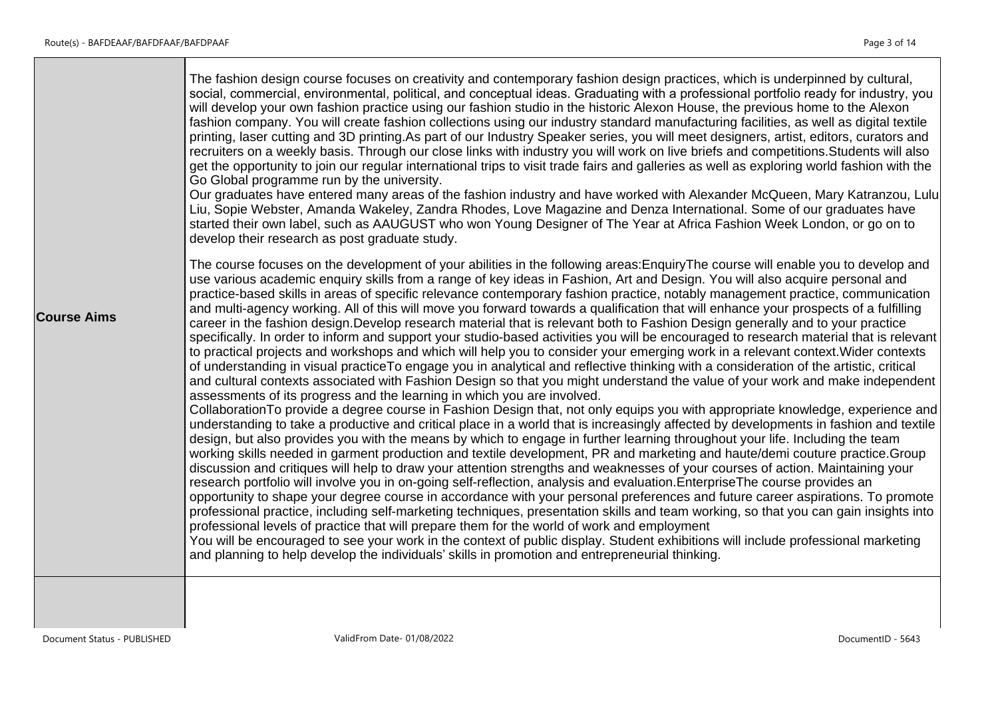$\overline{\phantom{a}}$ 

 $\Box$ 

|                    | The fashion design course focuses on creativity and contemporary fashion design practices, which is underpinned by cultural,<br>social, commercial, environmental, political, and conceptual ideas. Graduating with a professional portfolio ready for industry, you<br>will develop your own fashion practice using our fashion studio in the historic Alexon House, the previous home to the Alexon<br>fashion company. You will create fashion collections using our industry standard manufacturing facilities, as well as digital textile<br>printing, laser cutting and 3D printing.As part of our Industry Speaker series, you will meet designers, artist, editors, curators and<br>recruiters on a weekly basis. Through our close links with industry you will work on live briefs and competitions. Students will also<br>get the opportunity to join our regular international trips to visit trade fairs and galleries as well as exploring world fashion with the<br>Go Global programme run by the university.<br>Our graduates have entered many areas of the fashion industry and have worked with Alexander McQueen, Mary Katranzou, Lulu<br>Liu, Sopie Webster, Amanda Wakeley, Zandra Rhodes, Love Magazine and Denza International. Some of our graduates have<br>started their own label, such as AAUGUST who won Young Designer of The Year at Africa Fashion Week London, or go on to<br>develop their research as post graduate study.                                                                                                                                                                                                                                                                                                                                                                                                                                                                                                                                                                                                                                                                                                                                                                                                                                                                                                                                                                                                                                                                                                                                                                                                                                                                               |
|--------------------|-----------------------------------------------------------------------------------------------------------------------------------------------------------------------------------------------------------------------------------------------------------------------------------------------------------------------------------------------------------------------------------------------------------------------------------------------------------------------------------------------------------------------------------------------------------------------------------------------------------------------------------------------------------------------------------------------------------------------------------------------------------------------------------------------------------------------------------------------------------------------------------------------------------------------------------------------------------------------------------------------------------------------------------------------------------------------------------------------------------------------------------------------------------------------------------------------------------------------------------------------------------------------------------------------------------------------------------------------------------------------------------------------------------------------------------------------------------------------------------------------------------------------------------------------------------------------------------------------------------------------------------------------------------------------------------------------------------------------------------------------------------------------------------------------------------------------------------------------------------------------------------------------------------------------------------------------------------------------------------------------------------------------------------------------------------------------------------------------------------------------------------------------------------------------------------------------------------------------------------------------------------------------------------------------------------------------------------------------------------------------------------------------------------------------------------------------------------------------------------------------------------------------------------------------------------------------------------------------------------------------------------------------------------------------------------------------------------------------------------------------|
| <b>Course Aims</b> | The course focuses on the development of your abilities in the following areas: Enquiry The course will enable you to develop and<br>use various academic enquiry skills from a range of key ideas in Fashion, Art and Design. You will also acquire personal and<br>practice-based skills in areas of specific relevance contemporary fashion practice, notably management practice, communication<br>and multi-agency working. All of this will move you forward towards a qualification that will enhance your prospects of a fulfilling<br>career in the fashion design. Develop research material that is relevant both to Fashion Design generally and to your practice<br>specifically. In order to inform and support your studio-based activities you will be encouraged to research material that is relevant<br>to practical projects and workshops and which will help you to consider your emerging work in a relevant context. Wider contexts<br>of understanding in visual practiceTo engage you in analytical and reflective thinking with a consideration of the artistic, critical<br>and cultural contexts associated with Fashion Design so that you might understand the value of your work and make independent<br>assessments of its progress and the learning in which you are involved.<br>Collaboration To provide a degree course in Fashion Design that, not only equips you with appropriate knowledge, experience and<br>understanding to take a productive and critical place in a world that is increasingly affected by developments in fashion and textile<br>design, but also provides you with the means by which to engage in further learning throughout your life. Including the team<br>working skills needed in garment production and textile development, PR and marketing and haute/demi couture practice.Group<br>discussion and critiques will help to draw your attention strengths and weaknesses of your courses of action. Maintaining your<br>research portfolio will involve you in on-going self-reflection, analysis and evaluation. Enterprise The course provides an<br>opportunity to shape your degree course in accordance with your personal preferences and future career aspirations. To promote<br>professional practice, including self-marketing techniques, presentation skills and team working, so that you can gain insights into<br>professional levels of practice that will prepare them for the world of work and employment<br>You will be encouraged to see your work in the context of public display. Student exhibitions will include professional marketing<br>and planning to help develop the individuals' skills in promotion and entrepreneurial thinking. |
|                    |                                                                                                                                                                                                                                                                                                                                                                                                                                                                                                                                                                                                                                                                                                                                                                                                                                                                                                                                                                                                                                                                                                                                                                                                                                                                                                                                                                                                                                                                                                                                                                                                                                                                                                                                                                                                                                                                                                                                                                                                                                                                                                                                                                                                                                                                                                                                                                                                                                                                                                                                                                                                                                                                                                                                               |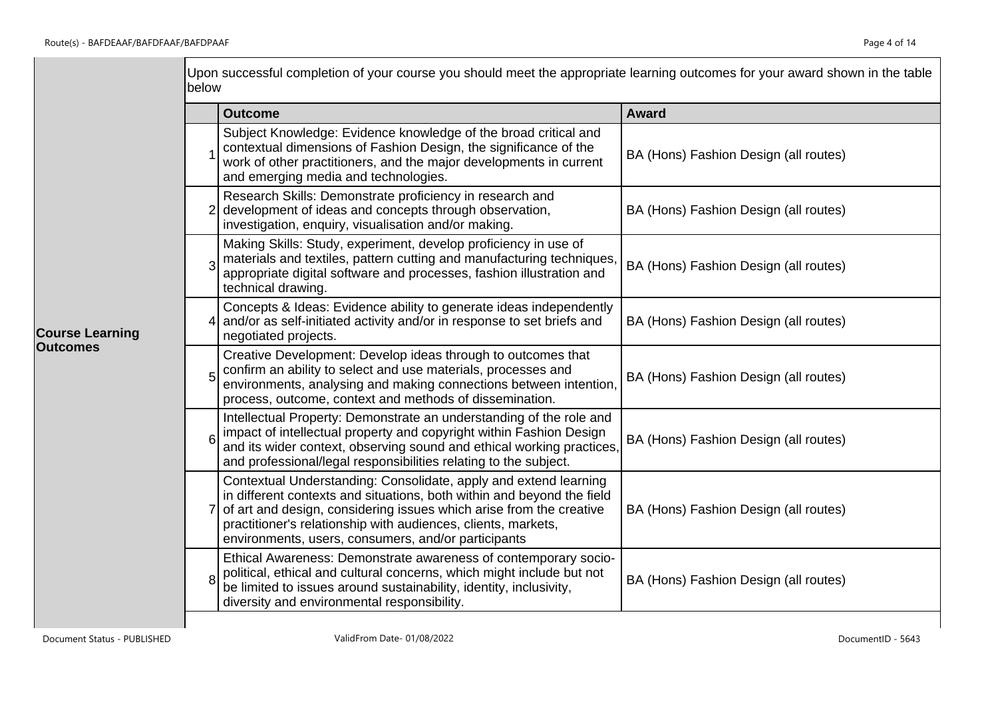|                        | below | Upon successful completion of your course you should meet the appropriate learning outcomes for your award shown in the table                                                                                                                                                                                                             |                                       |
|------------------------|-------|-------------------------------------------------------------------------------------------------------------------------------------------------------------------------------------------------------------------------------------------------------------------------------------------------------------------------------------------|---------------------------------------|
|                        |       | <b>Outcome</b>                                                                                                                                                                                                                                                                                                                            | Award                                 |
|                        |       | Subject Knowledge: Evidence knowledge of the broad critical and<br>contextual dimensions of Fashion Design, the significance of the<br>work of other practitioners, and the major developments in current<br>and emerging media and technologies.                                                                                         | BA (Hons) Fashion Design (all routes) |
|                        | 2     | Research Skills: Demonstrate proficiency in research and<br>development of ideas and concepts through observation,<br>investigation, enquiry, visualisation and/or making.                                                                                                                                                                | BA (Hons) Fashion Design (all routes) |
|                        | 3     | Making Skills: Study, experiment, develop proficiency in use of<br>materials and textiles, pattern cutting and manufacturing techniques,<br>appropriate digital software and processes, fashion illustration and<br>technical drawing.                                                                                                    | BA (Hons) Fashion Design (all routes) |
| <b>Course Learning</b> | 4     | Concepts & Ideas: Evidence ability to generate ideas independently<br>and/or as self-initiated activity and/or in response to set briefs and<br>negotiated projects.                                                                                                                                                                      | BA (Hons) Fashion Design (all routes) |
| <b>Outcomes</b>        | 5     | Creative Development: Develop ideas through to outcomes that<br>confirm an ability to select and use materials, processes and<br>environments, analysing and making connections between intention,<br>process, outcome, context and methods of dissemination.                                                                             | BA (Hons) Fashion Design (all routes) |
|                        | 6     | Intellectual Property: Demonstrate an understanding of the role and<br>impact of intellectual property and copyright within Fashion Design<br>and its wider context, observing sound and ethical working practices,<br>and professional/legal responsibilities relating to the subject.                                                   | BA (Hons) Fashion Design (all routes) |
|                        | 7     | Contextual Understanding: Consolidate, apply and extend learning<br>in different contexts and situations, both within and beyond the field<br>of art and design, considering issues which arise from the creative<br>practitioner's relationship with audiences, clients, markets,<br>environments, users, consumers, and/or participants | BA (Hons) Fashion Design (all routes) |
|                        | 8     | Ethical Awareness: Demonstrate awareness of contemporary socio-<br>political, ethical and cultural concerns, which might include but not<br>be limited to issues around sustainability, identity, inclusivity,<br>diversity and environmental responsibility.                                                                             | BA (Hons) Fashion Design (all routes) |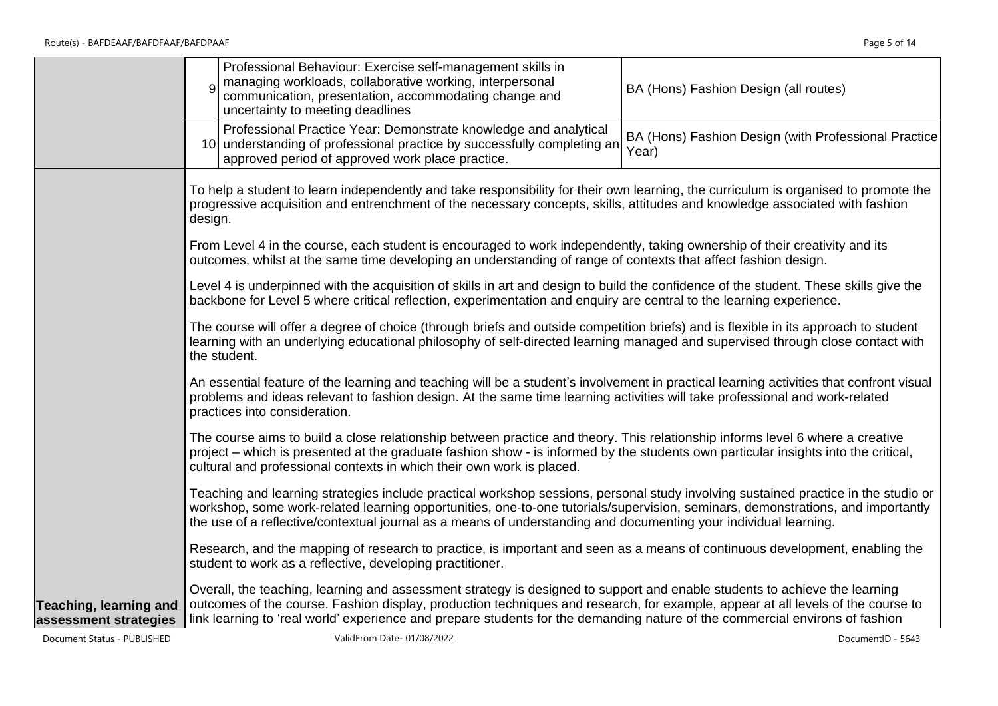|                                                 | Professional Behaviour: Exercise self-management skills in<br>managing workloads, collaborative working, interpersonal<br>BA (Hons) Fashion Design (all routes)<br>communication, presentation, accommodating change and<br>uncertainty to meeting deadlines                                                                                                                                  |
|-------------------------------------------------|-----------------------------------------------------------------------------------------------------------------------------------------------------------------------------------------------------------------------------------------------------------------------------------------------------------------------------------------------------------------------------------------------|
|                                                 | Professional Practice Year: Demonstrate knowledge and analytical<br>BA (Hons) Fashion Design (with Professional Practice<br>10 understanding of professional practice by successfully completing an<br>Year)<br>approved period of approved work place practice.                                                                                                                              |
|                                                 | To help a student to learn independently and take responsibility for their own learning, the curriculum is organised to promote the<br>progressive acquisition and entrenchment of the necessary concepts, skills, attitudes and knowledge associated with fashion<br>design.                                                                                                                 |
|                                                 | From Level 4 in the course, each student is encouraged to work independently, taking ownership of their creativity and its<br>outcomes, whilst at the same time developing an understanding of range of contexts that affect fashion design.                                                                                                                                                  |
|                                                 | Level 4 is underpinned with the acquisition of skills in art and design to build the confidence of the student. These skills give the<br>backbone for Level 5 where critical reflection, experimentation and enquiry are central to the learning experience.                                                                                                                                  |
|                                                 | The course will offer a degree of choice (through briefs and outside competition briefs) and is flexible in its approach to student<br>learning with an underlying educational philosophy of self-directed learning managed and supervised through close contact with<br>the student.                                                                                                         |
|                                                 | An essential feature of the learning and teaching will be a student's involvement in practical learning activities that confront visual<br>problems and ideas relevant to fashion design. At the same time learning activities will take professional and work-related<br>practices into consideration.                                                                                       |
|                                                 | The course aims to build a close relationship between practice and theory. This relationship informs level 6 where a creative<br>project – which is presented at the graduate fashion show - is informed by the students own particular insights into the critical,<br>cultural and professional contexts in which their own work is placed.                                                  |
|                                                 | Teaching and learning strategies include practical workshop sessions, personal study involving sustained practice in the studio or<br>workshop, some work-related learning opportunities, one-to-one tutorials/supervision, seminars, demonstrations, and importantly<br>the use of a reflective/contextual journal as a means of understanding and documenting your individual learning.     |
|                                                 | Research, and the mapping of research to practice, is important and seen as a means of continuous development, enabling the<br>student to work as a reflective, developing practitioner.                                                                                                                                                                                                      |
| Teaching, learning and<br>assessment strategies | Overall, the teaching, learning and assessment strategy is designed to support and enable students to achieve the learning<br>outcomes of the course. Fashion display, production techniques and research, for example, appear at all levels of the course to<br>link learning to 'real world' experience and prepare students for the demanding nature of the commercial environs of fashion |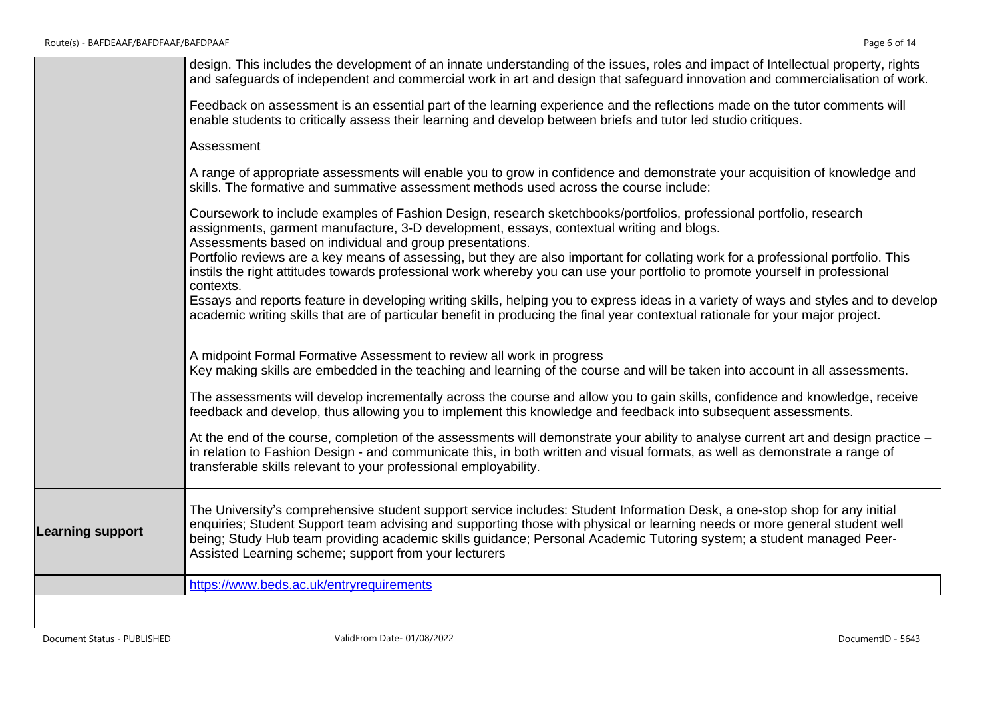|                         | design. This includes the development of an innate understanding of the issues, roles and impact of Intellectual property, rights<br>and safeguards of independent and commercial work in art and design that safeguard innovation and commercialisation of work.                                                                                                                                                                         |
|-------------------------|-------------------------------------------------------------------------------------------------------------------------------------------------------------------------------------------------------------------------------------------------------------------------------------------------------------------------------------------------------------------------------------------------------------------------------------------|
|                         | Feedback on assessment is an essential part of the learning experience and the reflections made on the tutor comments will<br>enable students to critically assess their learning and develop between briefs and tutor led studio critiques.                                                                                                                                                                                              |
|                         | Assessment                                                                                                                                                                                                                                                                                                                                                                                                                                |
|                         | A range of appropriate assessments will enable you to grow in confidence and demonstrate your acquisition of knowledge and<br>skills. The formative and summative assessment methods used across the course include:                                                                                                                                                                                                                      |
|                         | Coursework to include examples of Fashion Design, research sketchbooks/portfolios, professional portfolio, research<br>assignments, garment manufacture, 3-D development, essays, contextual writing and blogs.<br>Assessments based on individual and group presentations.                                                                                                                                                               |
|                         | Portfolio reviews are a key means of assessing, but they are also important for collating work for a professional portfolio. This<br>instils the right attitudes towards professional work whereby you can use your portfolio to promote yourself in professional<br>contexts.                                                                                                                                                            |
|                         | Essays and reports feature in developing writing skills, helping you to express ideas in a variety of ways and styles and to develop<br>academic writing skills that are of particular benefit in producing the final year contextual rationale for your major project.                                                                                                                                                                   |
|                         | A midpoint Formal Formative Assessment to review all work in progress<br>Key making skills are embedded in the teaching and learning of the course and will be taken into account in all assessments.                                                                                                                                                                                                                                     |
|                         | The assessments will develop incrementally across the course and allow you to gain skills, confidence and knowledge, receive<br>feedback and develop, thus allowing you to implement this knowledge and feedback into subsequent assessments.                                                                                                                                                                                             |
|                         | At the end of the course, completion of the assessments will demonstrate your ability to analyse current art and design practice -<br>in relation to Fashion Design - and communicate this, in both written and visual formats, as well as demonstrate a range of<br>transferable skills relevant to your professional employability.                                                                                                     |
| <b>Learning support</b> | The University's comprehensive student support service includes: Student Information Desk, a one-stop shop for any initial<br>enquiries; Student Support team advising and supporting those with physical or learning needs or more general student well<br>being; Study Hub team providing academic skills guidance; Personal Academic Tutoring system; a student managed Peer-<br>Assisted Learning scheme; support from your lecturers |
|                         | https://www.beds.ac.uk/entryrequirements                                                                                                                                                                                                                                                                                                                                                                                                  |
|                         |                                                                                                                                                                                                                                                                                                                                                                                                                                           |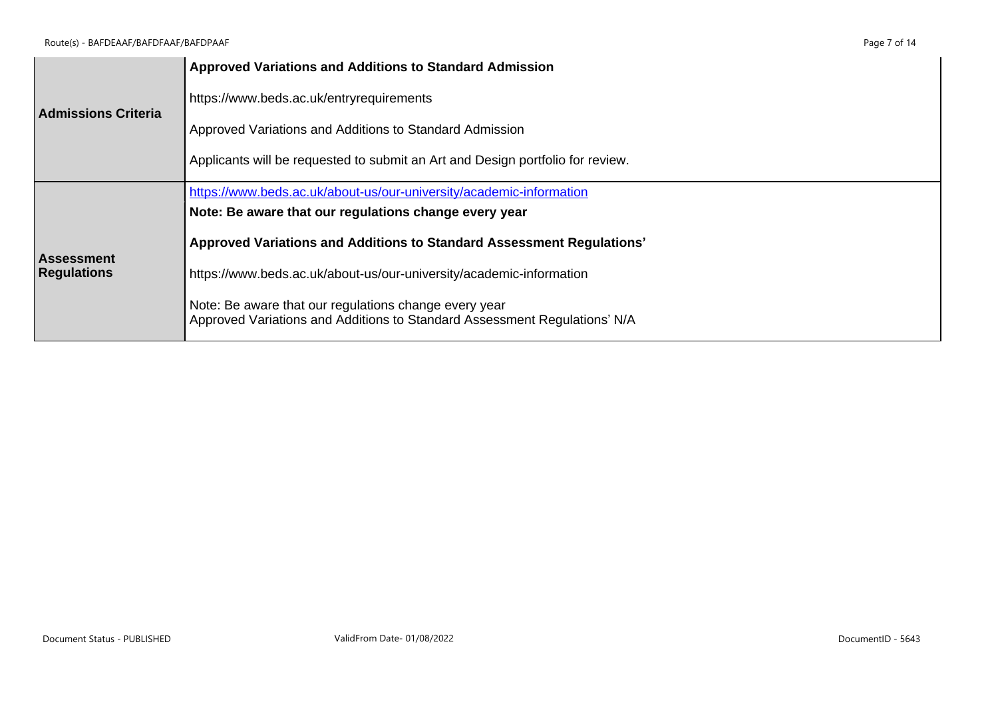|                            | <b>Approved Variations and Additions to Standard Admission</b>                                                                     |
|----------------------------|------------------------------------------------------------------------------------------------------------------------------------|
| <b>Admissions Criteria</b> | https://www.beds.ac.uk/entryrequirements                                                                                           |
|                            | Approved Variations and Additions to Standard Admission                                                                            |
|                            | Applicants will be requested to submit an Art and Design portfolio for review.                                                     |
|                            | https://www.beds.ac.uk/about-us/our-university/academic-information                                                                |
|                            | Note: Be aware that our regulations change every year                                                                              |
| <b>Assessment</b>          | Approved Variations and Additions to Standard Assessment Regulations'                                                              |
| <b>Regulations</b>         | https://www.beds.ac.uk/about-us/our-university/academic-information                                                                |
|                            | Note: Be aware that our regulations change every year<br>Approved Variations and Additions to Standard Assessment Regulations' N/A |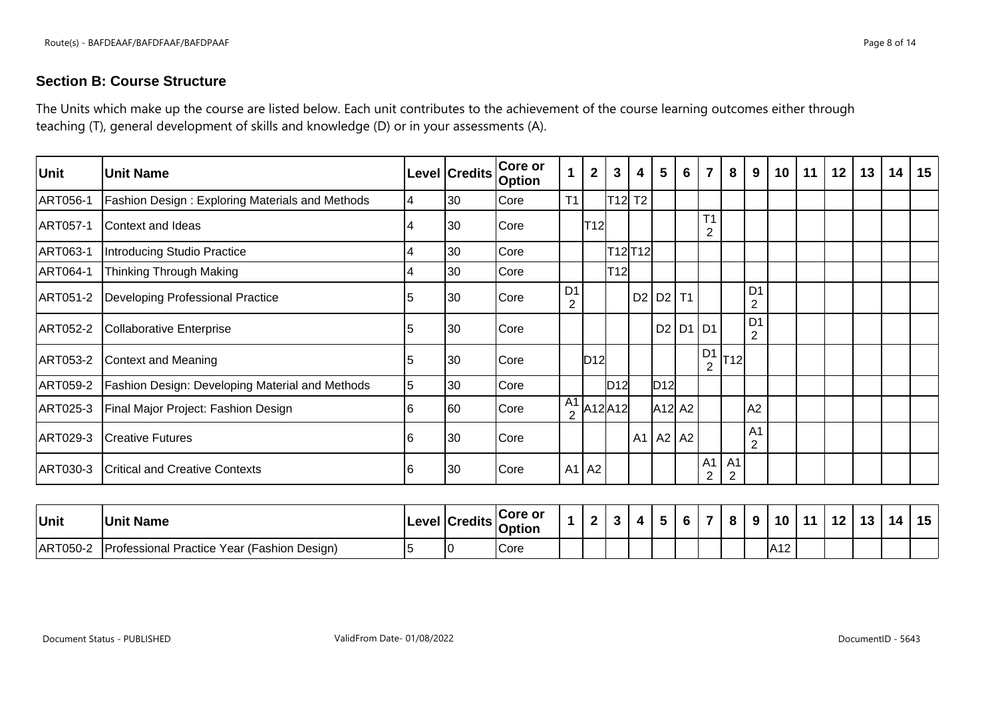## **Section B: Course Structure**

The Units which make up the course are listed below. Each unit contributes to the achievement of the course learning outcomes either through teaching (T), general development of skills and knowledge (D) or in your assessments (A).

| Unit     | lUnit Name                                             |    | Level Credits | Core or<br><b>Option</b> |                                  | $\overline{2}$  | $\overline{\mathbf{3}}$         | $\overline{4}$ | $5\phantom{1}$ | 6                                              | $\overline{7}$                   | 8              | 9                                | 10 | 11 | 12 | 13 | 14 | 15 |
|----------|--------------------------------------------------------|----|---------------|--------------------------|----------------------------------|-----------------|---------------------------------|----------------|----------------|------------------------------------------------|----------------------------------|----------------|----------------------------------|----|----|----|----|----|----|
| ART056-1 | <b>Fashion Design: Exploring Materials and Methods</b> | 14 | 30            | Core                     | T1                               |                 | T12 T2                          |                |                |                                                |                                  |                |                                  |    |    |    |    |    |    |
| ART057-1 | Context and Ideas                                      |    | 30            | Core                     |                                  | T <sub>12</sub> |                                 |                |                |                                                | T <sub>1</sub><br>2              |                |                                  |    |    |    |    |    |    |
| ART063-1 | Introducing Studio Practice                            |    | 30            | Core                     |                                  |                 | T12T12                          |                |                |                                                |                                  |                |                                  |    |    |    |    |    |    |
| ART064-1 | Thinking Through Making                                |    | 30            | Core                     |                                  |                 | T12                             |                |                |                                                |                                  |                |                                  |    |    |    |    |    |    |
| ART051-2 | Developing Professional Practice                       | 15 | 30            | Core                     | D <sub>1</sub><br>$\overline{2}$ |                 |                                 |                | D2 D2 T1       |                                                |                                  |                | D <sub>1</sub><br>$\overline{2}$ |    |    |    |    |    |    |
| ART052-2 | Collaborative Enterprise                               | 15 | 30            | Core                     |                                  |                 |                                 |                |                | D <sub>2</sub> ID <sub>1</sub> ID <sub>1</sub> |                                  |                | D <sub>1</sub><br>$\overline{2}$ |    |    |    |    |    |    |
| ART053-2 | Context and Meaning                                    | 15 | 30            | Core                     |                                  | D12             |                                 |                |                |                                                | D <sub>1</sub><br>$\overline{2}$ | T12            |                                  |    |    |    |    |    |    |
| ART059-2 | <b>Fashion Design: Developing Material and Methods</b> | 15 | 30            | Core                     |                                  |                 | D12                             |                | D12            |                                                |                                  |                |                                  |    |    |    |    |    |    |
| ART025-3 | Final Major Project: Fashion Design                    | 16 | 60            | Core                     | A <sub>1</sub>                   |                 | A <sub>12</sub> A <sub>12</sub> |                | A12 A2         |                                                |                                  |                | A2                               |    |    |    |    |    |    |
| ART029-3 | <b>Creative Futures</b>                                | 16 | 30            | Core                     |                                  |                 |                                 |                | $A1$ $A2$ $A2$ |                                                |                                  |                | A1<br>$\overline{2}$             |    |    |    |    |    |    |
| ART030-3 | <b>Critical and Creative Contexts</b>                  | 16 | 30            | Core                     |                                  | $A1$ $A2$       |                                 |                |                |                                                | A <sub>1</sub><br>2              | A <sub>1</sub> |                                  |    |    |    |    |    |    |

| Unit     | <b>Unit Name</b>                            |  | <b>ICore or</b><br> Level Credits <sub>Option</sub> |  |  |  |  | $\mathbf{\Omega}$ | 10         | 11 | 12 | 13 | 14 | 15 |
|----------|---------------------------------------------|--|-----------------------------------------------------|--|--|--|--|-------------------|------------|----|----|----|----|----|
| ART050-2 | Professional Practice Year (Fashion Design) |  | <b>Core</b>                                         |  |  |  |  |                   | <b>A12</b> |    |    |    |    |    |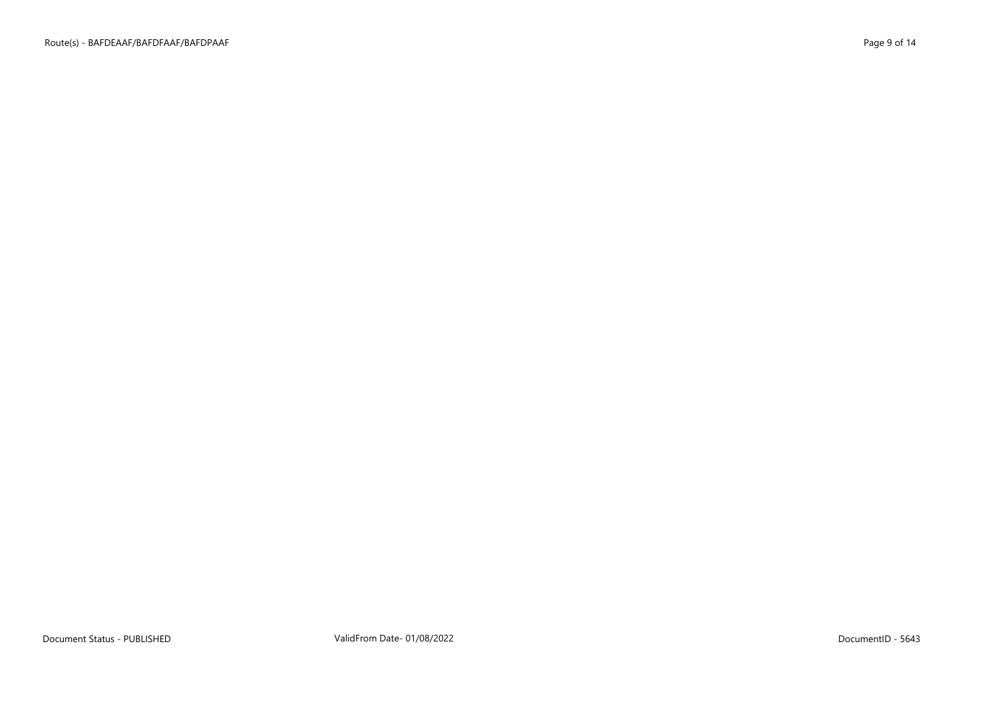Route(s) - BAFDEAAF/BAFDFAAF/BAFDPAAF Page 9 of 14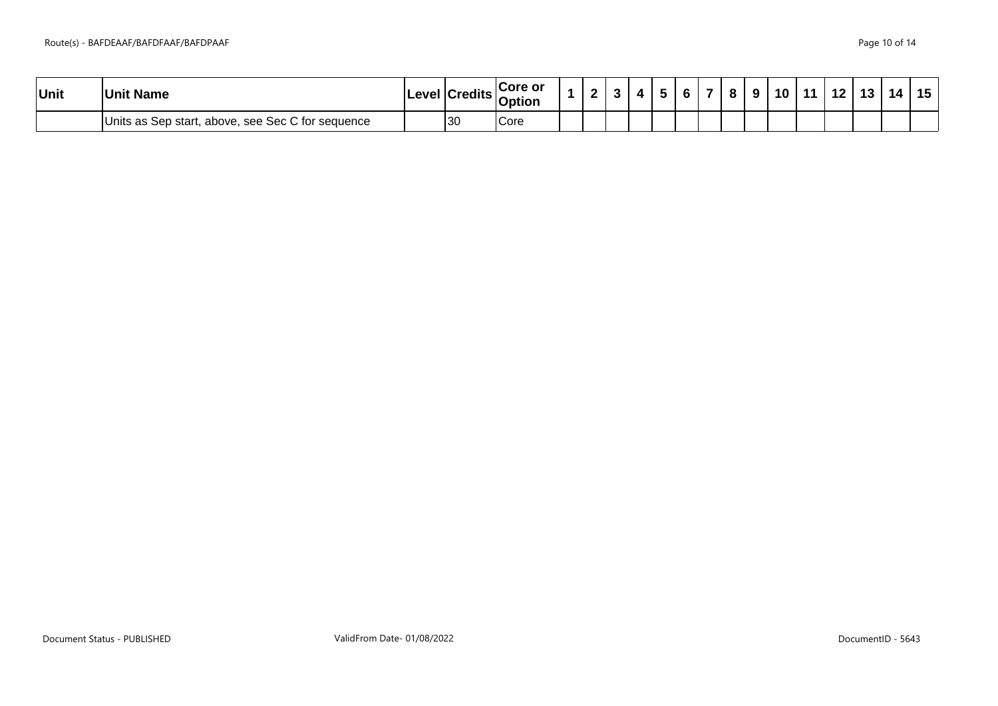| Unit | <b>Unit Name</b>                                  |     | <b>Core or</b><br> Level Credits <sub>Option</sub> |  |  |  | $\bullet$ | -9 | 10 | $\begin{array}{c} 44 \end{array}$ | $\overline{A}$ | $\overline{\phantom{a}}$ | $\mathbf{11}$ | 15 |
|------|---------------------------------------------------|-----|----------------------------------------------------|--|--|--|-----------|----|----|-----------------------------------|----------------|--------------------------|---------------|----|
|      | Units as Sep start, above, see Sec C for sequence | 130 | <b>Core</b>                                        |  |  |  |           |    |    |                                   |                |                          |               |    |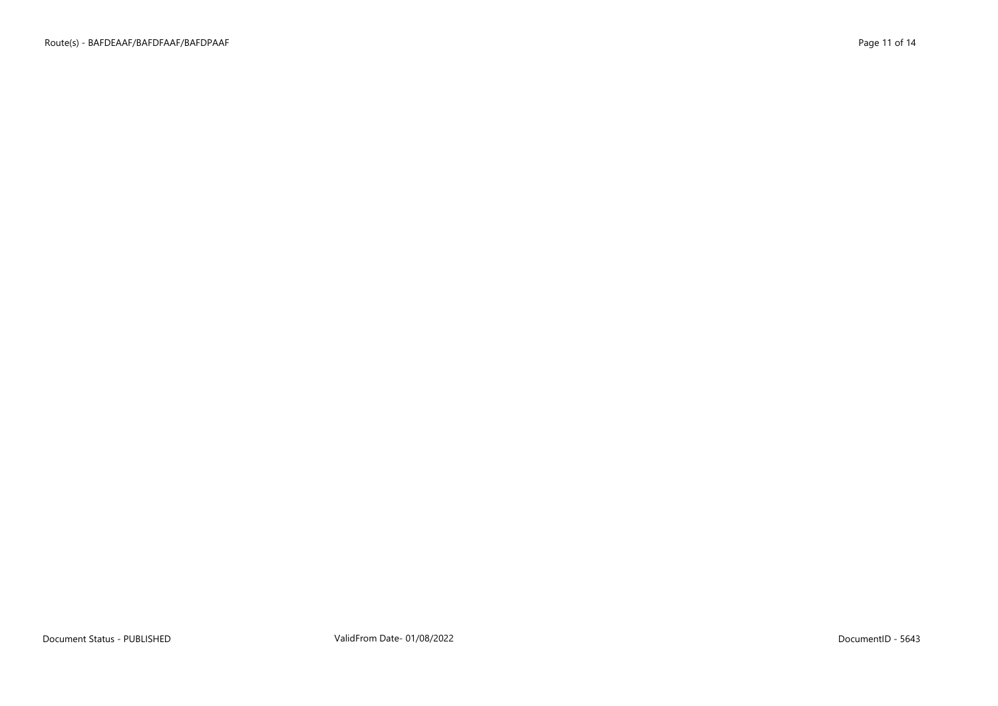Route(s) - BAFDEAAF/BAFDFAAF/BAFDPAAF Page 11 of 14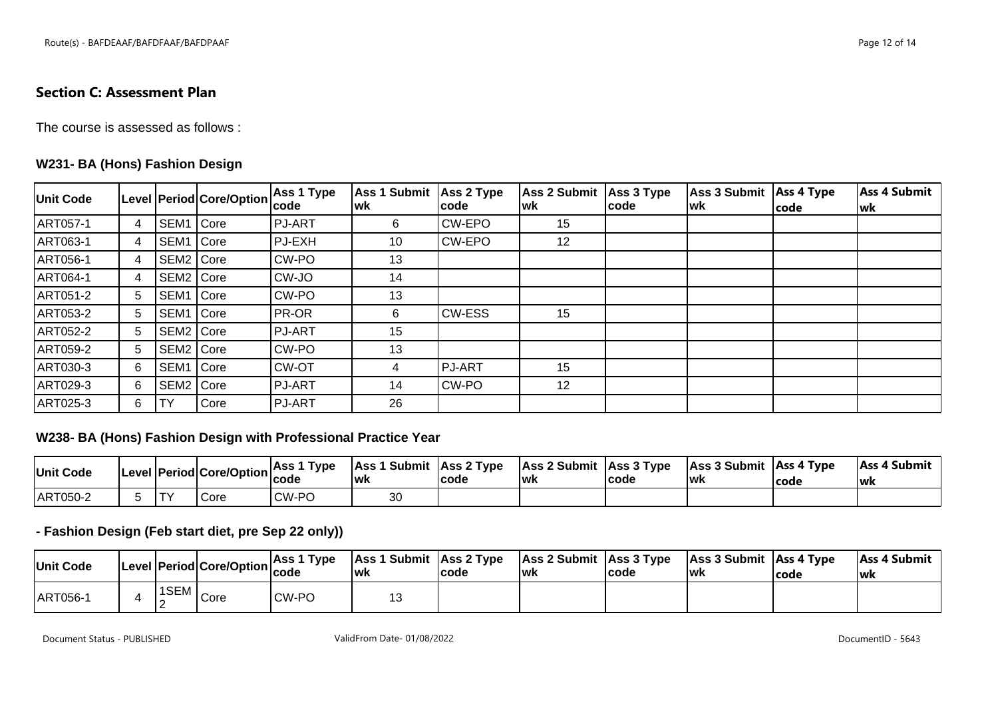## **Section C: Assessment Plan**

The course is assessed as follows :

## **W231- BA (Hons) Fashion Design**

| <b>Unit Code</b> |   |                         | Level Period Core/Option | Ass 1 Type<br>lcode | <b>Ass 1 Submit</b><br>lwk | Ass 2 Type<br>lcode | Ass 2 Submit   Ass 3 Type<br>lwk. | code | <b>Ass 3 Submit</b><br>lwk | Ass 4 Type<br> code | <b>Ass 4 Submit</b><br> wk |
|------------------|---|-------------------------|--------------------------|---------------------|----------------------------|---------------------|-----------------------------------|------|----------------------------|---------------------|----------------------------|
| ART057-1         | 4 | SEM1 Core               |                          | <b>PJ-ART</b>       | 6                          | CW-EPO              | 15                                |      |                            |                     |                            |
| ART063-1         | 4 | SEM1                    | Core                     | PJ-EXH              | 10                         | CW-EPO              | 12                                |      |                            |                     |                            |
| ART056-1         | 4 | SEM2   Core             |                          | CW-PO               | 13                         |                     |                                   |      |                            |                     |                            |
| ART064-1         | 4 | SEM <sub>2</sub>   Core |                          | CW-JO               | 14                         |                     |                                   |      |                            |                     |                            |
| ART051-2         | 5 | SEM1 Core               |                          | CW-PO               | 13                         |                     |                                   |      |                            |                     |                            |
| ART053-2         | 5 | SEM1   Core             |                          | PR-OR               | 6                          | <b>CW-ESS</b>       | 15                                |      |                            |                     |                            |
| ART052-2         | 5 | SEM2   Core             |                          | PJ-ART              | 15                         |                     |                                   |      |                            |                     |                            |
| ART059-2         | 5 | SEM <sub>2</sub>   Core |                          | CW-PO               | 13                         |                     |                                   |      |                            |                     |                            |
| ART030-3         | 6 | SEM1 Core               |                          | CW-OT               | 4                          | <b>PJ-ART</b>       | 15                                |      |                            |                     |                            |
| ART029-3         | 6 | SEM <sub>2</sub>   Core |                          | <b>PJ-ART</b>       | 14                         | CW-PO               | 12                                |      |                            |                     |                            |
| ART025-3         | 6 | TΥ                      | Core                     | <b>PJ-ART</b>       | 26                         |                     |                                   |      |                            |                     |                            |

#### **W238- BA (Hons) Fashion Design with Professional Practice Year**

| <b>Unit Code</b> |  | Level Period Core/Option | <b>Type</b><br>⊥Ass 1<br>lcode | <b>Ass 1 Submit Ass 2 Type</b><br><b>Iwk</b> | Icode | Ass 2 Submit Ass 3 Type<br>lwk | code | Ass 3 Submit Ass 4 Type<br>lwk | lcode | Ass 4 Submit<br><b>Iwk</b> |
|------------------|--|--------------------------|--------------------------------|----------------------------------------------|-------|--------------------------------|------|--------------------------------|-------|----------------------------|
| ART050-2         |  | Core                     | CW-PO                          | υu                                           |       |                                |      |                                |       |                            |

#### **- Fashion Design (Feb start diet, pre Sep 22 only))**

| Unit Code |      | Level Period Core/Option code | Ass 1 Type | Ass 1 Submit Ass 2 Type<br><b>Iwk</b> | lcode | Ass 2 Submit Ass 3 Type<br>lwk | <b>Icode</b> | Ass 3 Submit Ass 4 Type<br>'wk | lcode | Ass 4 Submit<br><b>Iwk</b> |
|-----------|------|-------------------------------|------------|---------------------------------------|-------|--------------------------------|--------------|--------------------------------|-------|----------------------------|
| ART056-1  | 1SEM | Core                          | CW-PO      |                                       |       |                                |              |                                |       |                            |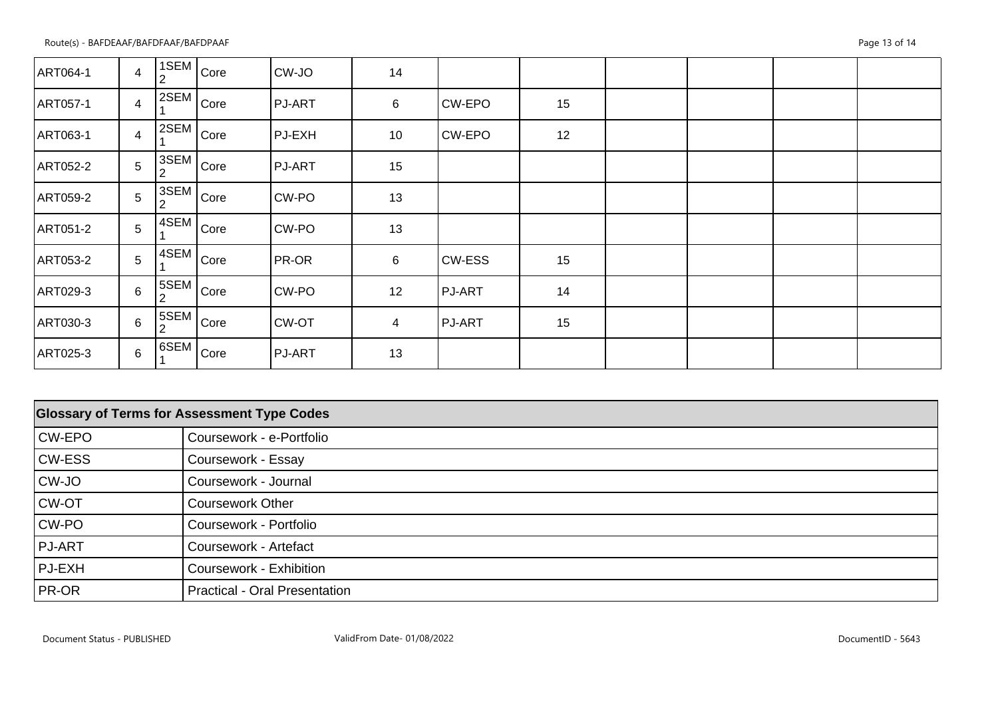| ART064-1 | 4              | 2              | <sup>11SEM</sup> Core | CW-JO         | 14 |               |    |  |  |
|----------|----------------|----------------|-----------------------|---------------|----|---------------|----|--|--|
| ART057-1 | $\overline{4}$ |                | $12$ SEM $ _{Core}$   | <b>PJ-ART</b> | 6  | CW-EPO        | 15 |  |  |
| ART063-1 | 4              |                | $12$ SEM $ _{Core}$   | PJ-EXH        | 10 | CW-EPO        | 12 |  |  |
| ART052-2 | 5              | 2              | $13SEM$ Core          | <b>PJ-ART</b> | 15 |               |    |  |  |
| ART059-2 | 5              | $\overline{2}$ | 13SEM Core            | CW-PO         | 13 |               |    |  |  |
| ART051-2 | 5              | 4SEM           | Core                  | CW-PO         | 13 |               |    |  |  |
| ART053-2 | 5              |                | 14SEM Core            | PR-OR         | 6  | <b>CW-ESS</b> | 15 |  |  |
| ART029-3 | 6              | $\overline{2}$ | 15SEM Core            | CW-PO         | 12 | <b>PJ-ART</b> | 14 |  |  |
| ART030-3 | 6              | $\overline{2}$ | 15SEM Core            | <b>CW-OT</b>  | 4  | <b>PJ-ART</b> | 15 |  |  |
| ART025-3 | 6              |                | <b>I</b> 6SEM Core    | <b>PJ-ART</b> | 13 |               |    |  |  |

| <b>Glossary of Terms for Assessment Type Codes</b> |                                      |  |  |  |  |
|----------------------------------------------------|--------------------------------------|--|--|--|--|
| <b>CW-EPO</b>                                      | Coursework - e-Portfolio             |  |  |  |  |
| <b>CW-ESS</b>                                      | Coursework - Essay                   |  |  |  |  |
| CW-JO                                              | Coursework - Journal                 |  |  |  |  |
| CW-OT                                              | <b>Coursework Other</b>              |  |  |  |  |
| CW-PO                                              | Coursework - Portfolio               |  |  |  |  |
| PJ-ART                                             | Coursework - Artefact                |  |  |  |  |
| PJ-EXH                                             | <b>Coursework - Exhibition</b>       |  |  |  |  |
| PR-OR                                              | <b>Practical - Oral Presentation</b> |  |  |  |  |